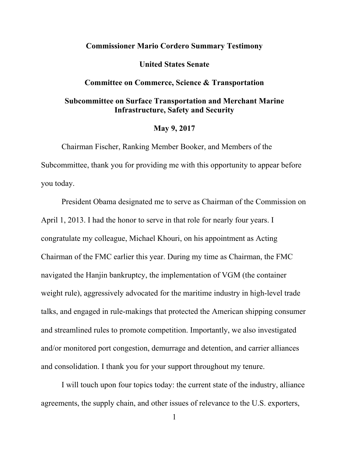# **Commissioner Mario Cordero Summary Testimony**

## **United States Senate**

#### **Committee on Commerce, Science & Transportation**

# **Subcommittee on Surface Transportation and Merchant Marine Infrastructure, Safety and Security**

## **May 9, 2017**

Chairman Fischer, Ranking Member Booker, and Members of the Subcommittee, thank you for providing me with this opportunity to appear before you today.

President Obama designated me to serve as Chairman of the Commission on April 1, 2013. I had the honor to serve in that role for nearly four years. I congratulate my colleague, Michael Khouri, on his appointment as Acting Chairman of the FMC earlier this year. During my time as Chairman, the FMC navigated the Hanjin bankruptcy, the implementation of VGM (the container weight rule), aggressively advocated for the maritime industry in high-level trade talks, and engaged in rule-makings that protected the American shipping consumer and streamlined rules to promote competition. Importantly, we also investigated and/or monitored port congestion, demurrage and detention, and carrier alliances and consolidation. I thank you for your support throughout my tenure.

I will touch upon four topics today: the current state of the industry, alliance agreements, the supply chain, and other issues of relevance to the U.S. exporters,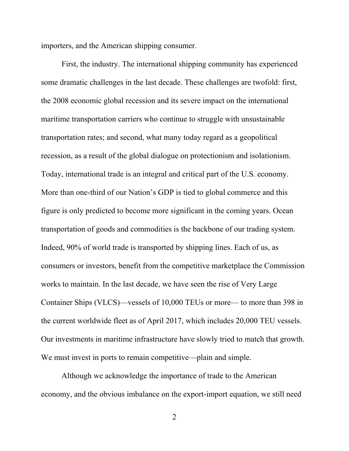importers, and the American shipping consumer.

First, the industry. The international shipping community has experienced some dramatic challenges in the last decade. These challenges are twofold: first, the 2008 economic global recession and its severe impact on the international maritime transportation carriers who continue to struggle with unsustainable transportation rates; and second, what many today regard as a geopolitical recession, as a result of the global dialogue on protectionism and isolationism. Today, international trade is an integral and critical part of the U.S. economy. More than one-third of our Nation's GDP is tied to global commerce and this figure is only predicted to become more significant in the coming years. Ocean transportation of goods and commodities is the backbone of our trading system. Indeed, 90% of world trade is transported by shipping lines. Each of us, as consumers or investors, benefit from the competitive marketplace the Commission works to maintain. In the last decade, we have seen the rise of Very Large Container Ships (VLCS)—vessels of 10,000 TEUs or more— to more than 398 in the current worldwide fleet as of April 2017, which includes 20,000 TEU vessels. Our investments in maritime infrastructure have slowly tried to match that growth. We must invest in ports to remain competitive—plain and simple.

Although we acknowledge the importance of trade to the American economy, and the obvious imbalance on the export-import equation, we still need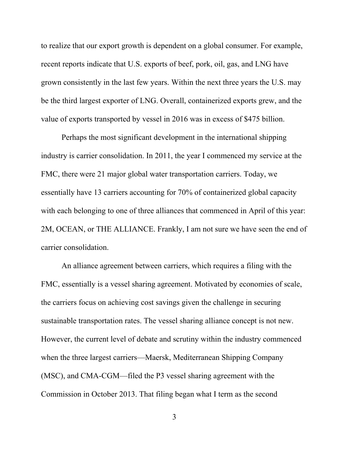to realize that our export growth is dependent on a global consumer. For example, recent reports indicate that U.S. exports of beef, pork, oil, gas, and LNG have grown consistently in the last few years. Within the next three years the U.S. may be the third largest exporter of LNG. Overall, containerized exports grew, and the value of exports transported by vessel in 2016 was in excess of \$475 billion.

Perhaps the most significant development in the international shipping industry is carrier consolidation. In 2011, the year I commenced my service at the FMC, there were 21 major global water transportation carriers. Today, we essentially have 13 carriers accounting for 70% of containerized global capacity with each belonging to one of three alliances that commenced in April of this year: 2M, OCEAN, or THE ALLIANCE. Frankly, I am not sure we have seen the end of carrier consolidation.

An alliance agreement between carriers, which requires a filing with the FMC, essentially is a vessel sharing agreement. Motivated by economies of scale, the carriers focus on achieving cost savings given the challenge in securing sustainable transportation rates. The vessel sharing alliance concept is not new. However, the current level of debate and scrutiny within the industry commenced when the three largest carriers—Maersk, Mediterranean Shipping Company (MSC), and CMA-CGM—filed the P3 vessel sharing agreement with the Commission in October 2013. That filing began what I term as the second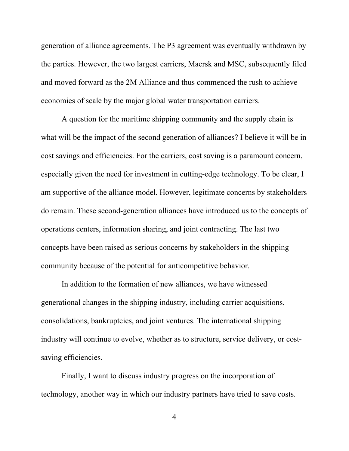generation of alliance agreements. The P3 agreement was eventually withdrawn by the parties. However, the two largest carriers, Maersk and MSC, subsequently filed and moved forward as the 2M Alliance and thus commenced the rush to achieve economies of scale by the major global water transportation carriers.

A question for the maritime shipping community and the supply chain is what will be the impact of the second generation of alliances? I believe it will be in cost savings and efficiencies. For the carriers, cost saving is a paramount concern, especially given the need for investment in cutting-edge technology. To be clear, I am supportive of the alliance model. However, legitimate concerns by stakeholders do remain. These second-generation alliances have introduced us to the concepts of operations centers, information sharing, and joint contracting. The last two concepts have been raised as serious concerns by stakeholders in the shipping community because of the potential for anticompetitive behavior.

In addition to the formation of new alliances, we have witnessed generational changes in the shipping industry, including carrier acquisitions, consolidations, bankruptcies, and joint ventures. The international shipping industry will continue to evolve, whether as to structure, service delivery, or costsaving efficiencies.

Finally, I want to discuss industry progress on the incorporation of technology, another way in which our industry partners have tried to save costs.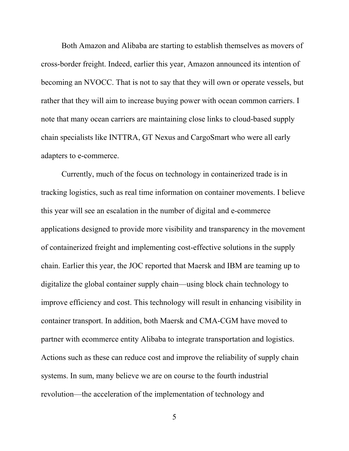Both Amazon and Alibaba are starting to establish themselves as movers of cross-border freight. Indeed, earlier this year, Amazon announced its intention of becoming an NVOCC. That is not to say that they will own or operate vessels, but rather that they will aim to increase buying power with ocean common carriers. I note that many ocean carriers are maintaining close links to cloud-based supply chain specialists like INTTRA, GT Nexus and CargoSmart who were all early adapters to e-commerce.

Currently, much of the focus on technology in containerized trade is in tracking logistics, such as real time information on container movements. I believe this year will see an escalation in the number of digital and e-commerce applications designed to provide more visibility and transparency in the movement of containerized freight and implementing cost-effective solutions in the supply chain. Earlier this year, the JOC reported that Maersk and IBM are teaming up to digitalize the global container supply chain—using block chain technology to improve efficiency and cost. This technology will result in enhancing visibility in container transport. In addition, both Maersk and CMA-CGM have moved to partner with ecommerce entity Alibaba to integrate transportation and logistics. Actions such as these can reduce cost and improve the reliability of supply chain systems. In sum, many believe we are on course to the fourth industrial revolution—the acceleration of the implementation of technology and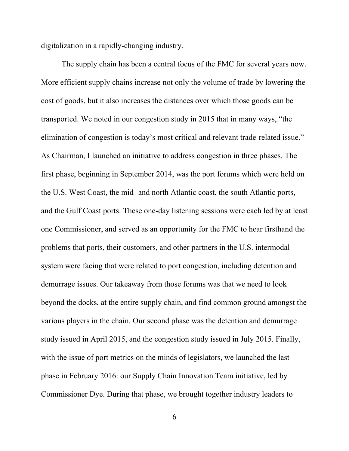digitalization in a rapidly-changing industry.

The supply chain has been a central focus of the FMC for several years now. More efficient supply chains increase not only the volume of trade by lowering the cost of goods, but it also increases the distances over which those goods can be transported. We noted in our congestion study in 2015 that in many ways, "the elimination of congestion is today's most critical and relevant trade-related issue." As Chairman, I launched an initiative to address congestion in three phases. The first phase, beginning in September 2014, was the port forums which were held on the U.S. West Coast, the mid- and north Atlantic coast, the south Atlantic ports, and the Gulf Coast ports. These one-day listening sessions were each led by at least one Commissioner, and served as an opportunity for the FMC to hear firsthand the problems that ports, their customers, and other partners in the U.S. intermodal system were facing that were related to port congestion, including detention and demurrage issues. Our takeaway from those forums was that we need to look beyond the docks, at the entire supply chain, and find common ground amongst the various players in the chain. Our second phase was the detention and demurrage study issued in April 2015, and the congestion study issued in July 2015. Finally, with the issue of port metrics on the minds of legislators, we launched the last phase in February 2016: our Supply Chain Innovation Team initiative, led by Commissioner Dye. During that phase, we brought together industry leaders to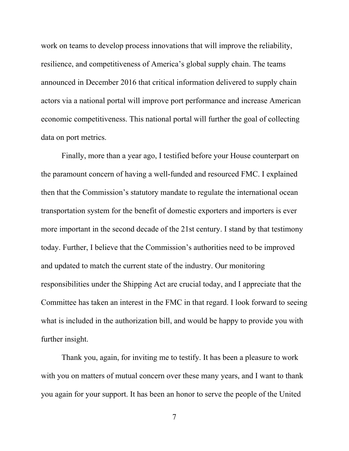work on teams to develop process innovations that will improve the reliability, resilience, and competitiveness of America's global supply chain. The teams announced in December 2016 that critical information delivered to supply chain actors via a national portal will improve port performance and increase American economic competitiveness. This national portal will further the goal of collecting data on port metrics.

Finally, more than a year ago, I testified before your House counterpart on the paramount concern of having a well-funded and resourced FMC. I explained then that the Commission's statutory mandate to regulate the international ocean transportation system for the benefit of domestic exporters and importers is ever more important in the second decade of the 21st century. I stand by that testimony today. Further, I believe that the Commission's authorities need to be improved and updated to match the current state of the industry. Our monitoring responsibilities under the Shipping Act are crucial today, and I appreciate that the Committee has taken an interest in the FMC in that regard. I look forward to seeing what is included in the authorization bill, and would be happy to provide you with further insight.

Thank you, again, for inviting me to testify. It has been a pleasure to work with you on matters of mutual concern over these many years, and I want to thank you again for your support. It has been an honor to serve the people of the United